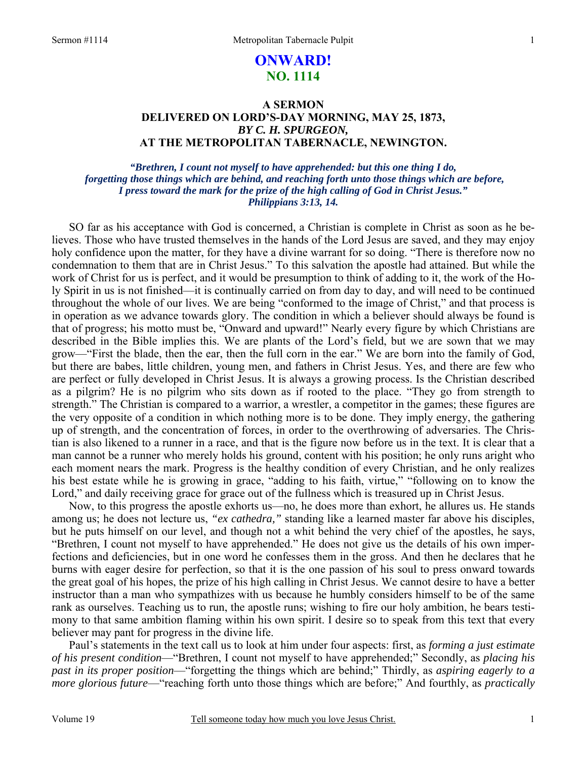# **ONWARD! NO. 1114**

## **A SERMON DELIVERED ON LORD'S-DAY MORNING, MAY 25, 1873,**  *BY C. H. SPURGEON,*  **AT THE METROPOLITAN TABERNACLE, NEWINGTON.**

### *"Brethren, I count not myself to have apprehended: but this one thing I do, forgetting those things which are behind, and reaching forth unto those things which are before, I press toward the mark for the prize of the high calling of God in Christ Jesus." Philippians 3:13, 14.*

SO far as his acceptance with God is concerned, a Christian is complete in Christ as soon as he believes. Those who have trusted themselves in the hands of the Lord Jesus are saved, and they may enjoy holy confidence upon the matter, for they have a divine warrant for so doing. "There is therefore now no condemnation to them that are in Christ Jesus." To this salvation the apostle had attained. But while the work of Christ for us is perfect, and it would be presumption to think of adding to it, the work of the Holy Spirit in us is not finished—it is continually carried on from day to day, and will need to be continued throughout the whole of our lives. We are being "conformed to the image of Christ," and that process is in operation as we advance towards glory. The condition in which a believer should always be found is that of progress; his motto must be, "Onward and upward!" Nearly every figure by which Christians are described in the Bible implies this. We are plants of the Lord's field, but we are sown that we may grow—"First the blade, then the ear, then the full corn in the ear." We are born into the family of God, but there are babes, little children, young men, and fathers in Christ Jesus. Yes, and there are few who are perfect or fully developed in Christ Jesus. It is always a growing process. Is the Christian described as a pilgrim? He is no pilgrim who sits down as if rooted to the place. "They go from strength to strength." The Christian is compared to a warrior, a wrestler, a competitor in the games; these figures are the very opposite of a condition in which nothing more is to be done. They imply energy, the gathering up of strength, and the concentration of forces, in order to the overthrowing of adversaries. The Christian is also likened to a runner in a race, and that is the figure now before us in the text. It is clear that a man cannot be a runner who merely holds his ground, content with his position; he only runs aright who each moment nears the mark. Progress is the healthy condition of every Christian, and he only realizes his best estate while he is growing in grace, "adding to his faith, virtue," "following on to know the Lord," and daily receiving grace for grace out of the fullness which is treasured up in Christ Jesus.

Now, to this progress the apostle exhorts us—no, he does more than exhort, he allures us. He stands among us; he does not lecture us, *"ex cathedra,"* standing like a learned master far above his disciples, but he puts himself on our level, and though not a whit behind the very chief of the apostles, he says, "Brethren, I count not myself to have apprehended." He does not give us the details of his own imperfections and deficiencies, but in one word he confesses them in the gross. And then he declares that he burns with eager desire for perfection, so that it is the one passion of his soul to press onward towards the great goal of his hopes, the prize of his high calling in Christ Jesus. We cannot desire to have a better instructor than a man who sympathizes with us because he humbly considers himself to be of the same rank as ourselves. Teaching us to run, the apostle runs; wishing to fire our holy ambition, he bears testimony to that same ambition flaming within his own spirit. I desire so to speak from this text that every believer may pant for progress in the divine life.

Paul's statements in the text call us to look at him under four aspects: first, as *forming a just estimate of his present condition*—"Brethren, I count not myself to have apprehended;" Secondly, as *placing his past in its proper position*—"forgetting the things which are behind;" Thirdly, as *aspiring eagerly to a more glorious future*—"reaching forth unto those things which are before;" And fourthly, as *practically*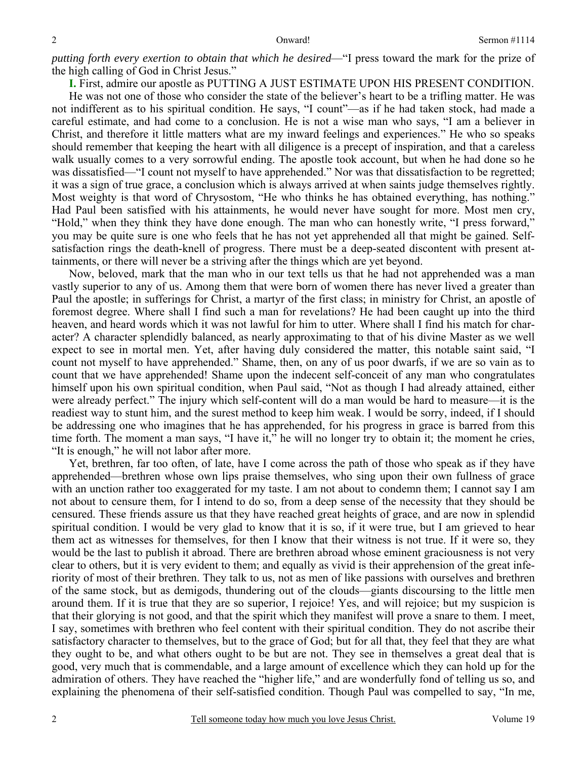*putting forth every exertion to obtain that which he desired*—"I press toward the mark for the prize of the high calling of God in Christ Jesus."

**I.** First, admire our apostle as PUTTING A JUST ESTIMATE UPON HIS PRESENT CONDITION.

He was not one of those who consider the state of the believer's heart to be a trifling matter. He was not indifferent as to his spiritual condition. He says, "I count"—as if he had taken stock, had made a careful estimate, and had come to a conclusion. He is not a wise man who says, "I am a believer in Christ, and therefore it little matters what are my inward feelings and experiences." He who so speaks should remember that keeping the heart with all diligence is a precept of inspiration, and that a careless walk usually comes to a very sorrowful ending. The apostle took account, but when he had done so he was dissatisfied—"I count not myself to have apprehended." Nor was that dissatisfaction to be regretted; it was a sign of true grace, a conclusion which is always arrived at when saints judge themselves rightly. Most weighty is that word of Chrysostom, "He who thinks he has obtained everything, has nothing." Had Paul been satisfied with his attainments, he would never have sought for more. Most men cry, "Hold," when they think they have done enough. The man who can honestly write, "I press forward," you may be quite sure is one who feels that he has not yet apprehended all that might be gained. Selfsatisfaction rings the death-knell of progress. There must be a deep-seated discontent with present attainments, or there will never be a striving after the things which are yet beyond.

Now, beloved, mark that the man who in our text tells us that he had not apprehended was a man vastly superior to any of us. Among them that were born of women there has never lived a greater than Paul the apostle; in sufferings for Christ, a martyr of the first class; in ministry for Christ, an apostle of foremost degree. Where shall I find such a man for revelations? He had been caught up into the third heaven, and heard words which it was not lawful for him to utter. Where shall I find his match for character? A character splendidly balanced, as nearly approximating to that of his divine Master as we well expect to see in mortal men. Yet, after having duly considered the matter, this notable saint said, "I count not myself to have apprehended." Shame, then, on any of us poor dwarfs, if we are so vain as to count that we have apprehended! Shame upon the indecent self-conceit of any man who congratulates himself upon his own spiritual condition, when Paul said, "Not as though I had already attained, either were already perfect." The injury which self-content will do a man would be hard to measure—it is the readiest way to stunt him, and the surest method to keep him weak. I would be sorry, indeed, if I should be addressing one who imagines that he has apprehended, for his progress in grace is barred from this time forth. The moment a man says, "I have it," he will no longer try to obtain it; the moment he cries, "It is enough," he will not labor after more.

Yet, brethren, far too often, of late, have I come across the path of those who speak as if they have apprehended—brethren whose own lips praise themselves, who sing upon their own fullness of grace with an unction rather too exaggerated for my taste. I am not about to condemn them; I cannot say I am not about to censure them, for I intend to do so, from a deep sense of the necessity that they should be censured. These friends assure us that they have reached great heights of grace, and are now in splendid spiritual condition. I would be very glad to know that it is so, if it were true, but I am grieved to hear them act as witnesses for themselves, for then I know that their witness is not true. If it were so, they would be the last to publish it abroad. There are brethren abroad whose eminent graciousness is not very clear to others, but it is very evident to them; and equally as vivid is their apprehension of the great inferiority of most of their brethren. They talk to us, not as men of like passions with ourselves and brethren of the same stock, but as demigods, thundering out of the clouds—giants discoursing to the little men around them. If it is true that they are so superior, I rejoice! Yes, and will rejoice; but my suspicion is that their glorying is not good, and that the spirit which they manifest will prove a snare to them. I meet, I say, sometimes with brethren who feel content with their spiritual condition. They do not ascribe their satisfactory character to themselves, but to the grace of God; but for all that, they feel that they are what they ought to be, and what others ought to be but are not. They see in themselves a great deal that is good, very much that is commendable, and a large amount of excellence which they can hold up for the admiration of others. They have reached the "higher life," and are wonderfully fond of telling us so, and explaining the phenomena of their self-satisfied condition. Though Paul was compelled to say, "In me,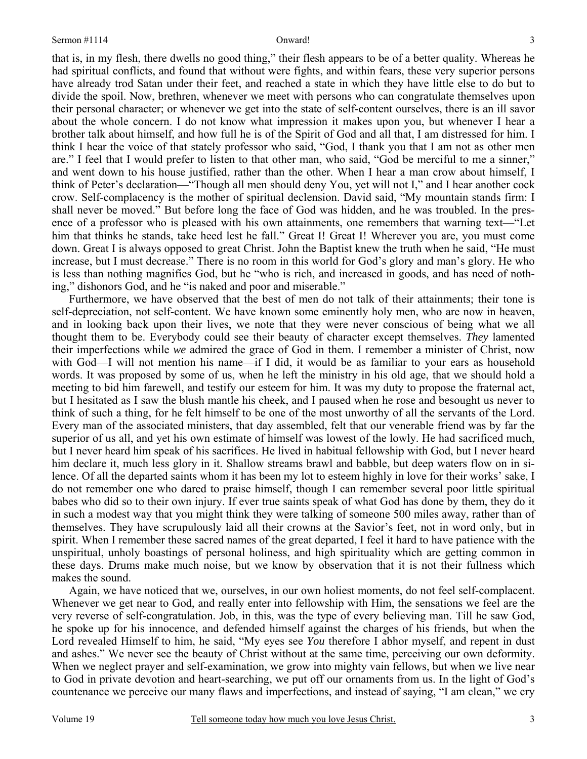that is, in my flesh, there dwells no good thing," their flesh appears to be of a better quality. Whereas he had spiritual conflicts, and found that without were fights, and within fears, these very superior persons have already trod Satan under their feet, and reached a state in which they have little else to do but to divide the spoil. Now, brethren, whenever we meet with persons who can congratulate themselves upon their personal character; or whenever we get into the state of self-content ourselves, there is an ill savor about the whole concern. I do not know what impression it makes upon you, but whenever I hear a brother talk about himself, and how full he is of the Spirit of God and all that, I am distressed for him. I think I hear the voice of that stately professor who said, "God, I thank you that I am not as other men are." I feel that I would prefer to listen to that other man, who said, "God be merciful to me a sinner," and went down to his house justified, rather than the other. When I hear a man crow about himself, I think of Peter's declaration—"Though all men should deny You, yet will not I," and I hear another cock crow. Self-complacency is the mother of spiritual declension. David said, "My mountain stands firm: I shall never be moved." But before long the face of God was hidden, and he was troubled. In the presence of a professor who is pleased with his own attainments, one remembers that warning text—"Let him that thinks he stands, take heed lest he fall." Great I! Great I! Wherever you are, you must come down. Great I is always opposed to great Christ. John the Baptist knew the truth when he said, "He must increase, but I must decrease." There is no room in this world for God's glory and man's glory. He who is less than nothing magnifies God, but he "who is rich, and increased in goods, and has need of nothing," dishonors God, and he "is naked and poor and miserable."

Furthermore, we have observed that the best of men do not talk of their attainments; their tone is self-depreciation, not self-content. We have known some eminently holy men, who are now in heaven, and in looking back upon their lives, we note that they were never conscious of being what we all thought them to be. Everybody could see their beauty of character except themselves. *They* lamented their imperfections while *we* admired the grace of God in them. I remember a minister of Christ, now with God—I will not mention his name—if I did, it would be as familiar to your ears as household words. It was proposed by some of us, when he left the ministry in his old age, that we should hold a meeting to bid him farewell, and testify our esteem for him. It was my duty to propose the fraternal act, but I hesitated as I saw the blush mantle his cheek, and I paused when he rose and besought us never to think of such a thing, for he felt himself to be one of the most unworthy of all the servants of the Lord. Every man of the associated ministers, that day assembled, felt that our venerable friend was by far the superior of us all, and yet his own estimate of himself was lowest of the lowly. He had sacrificed much, but I never heard him speak of his sacrifices. He lived in habitual fellowship with God, but I never heard him declare it, much less glory in it. Shallow streams brawl and babble, but deep waters flow on in silence. Of all the departed saints whom it has been my lot to esteem highly in love for their works' sake, I do not remember one who dared to praise himself, though I can remember several poor little spiritual babes who did so to their own injury. If ever true saints speak of what God has done by them, they do it in such a modest way that you might think they were talking of someone 500 miles away, rather than of themselves. They have scrupulously laid all their crowns at the Savior's feet, not in word only, but in spirit. When I remember these sacred names of the great departed, I feel it hard to have patience with the unspiritual, unholy boastings of personal holiness, and high spirituality which are getting common in these days. Drums make much noise, but we know by observation that it is not their fullness which makes the sound.

Again, we have noticed that we, ourselves, in our own holiest moments, do not feel self-complacent. Whenever we get near to God, and really enter into fellowship with Him, the sensations we feel are the very reverse of self-congratulation. Job, in this, was the type of every believing man. Till he saw God, he spoke up for his innocence, and defended himself against the charges of his friends, but when the Lord revealed Himself to him, he said, "My eyes see *You* therefore I abhor myself, and repent in dust and ashes." We never see the beauty of Christ without at the same time, perceiving our own deformity. When we neglect prayer and self-examination, we grow into mighty vain fellows, but when we live near to God in private devotion and heart-searching, we put off our ornaments from us. In the light of God's countenance we perceive our many flaws and imperfections, and instead of saying, "I am clean," we cry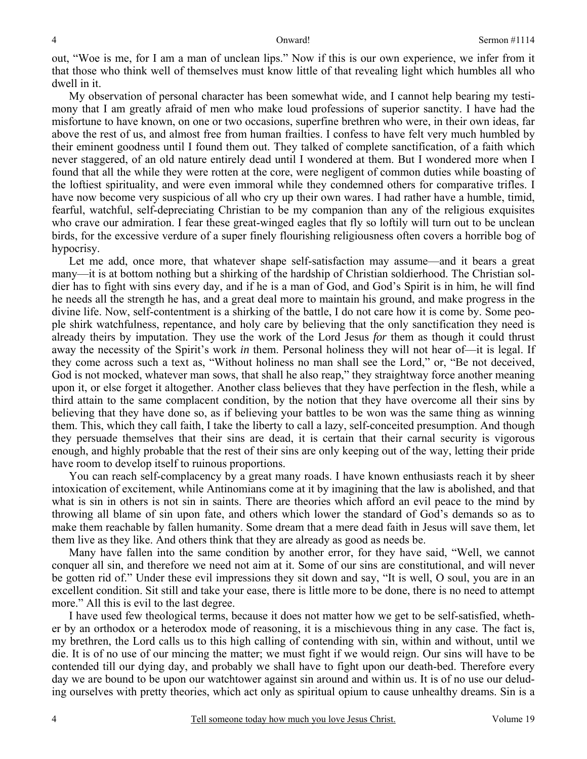out, "Woe is me, for I am a man of unclean lips." Now if this is our own experience, we infer from it that those who think well of themselves must know little of that revealing light which humbles all who dwell in it.

My observation of personal character has been somewhat wide, and I cannot help bearing my testimony that I am greatly afraid of men who make loud professions of superior sanctity. I have had the misfortune to have known, on one or two occasions, superfine brethren who were, in their own ideas, far above the rest of us, and almost free from human frailties. I confess to have felt very much humbled by their eminent goodness until I found them out. They talked of complete sanctification, of a faith which never staggered, of an old nature entirely dead until I wondered at them. But I wondered more when I found that all the while they were rotten at the core, were negligent of common duties while boasting of the loftiest spirituality, and were even immoral while they condemned others for comparative trifles. I have now become very suspicious of all who cry up their own wares. I had rather have a humble, timid, fearful, watchful, self-depreciating Christian to be my companion than any of the religious exquisites who crave our admiration. I fear these great-winged eagles that fly so loftily will turn out to be unclean birds, for the excessive verdure of a super finely flourishing religiousness often covers a horrible bog of hypocrisy.

Let me add, once more, that whatever shape self-satisfaction may assume—and it bears a great many—it is at bottom nothing but a shirking of the hardship of Christian soldierhood. The Christian soldier has to fight with sins every day, and if he is a man of God, and God's Spirit is in him, he will find he needs all the strength he has, and a great deal more to maintain his ground, and make progress in the divine life. Now, self-contentment is a shirking of the battle, I do not care how it is come by. Some people shirk watchfulness, repentance, and holy care by believing that the only sanctification they need is already theirs by imputation. They use the work of the Lord Jesus *for* them as though it could thrust away the necessity of the Spirit's work *in* them. Personal holiness they will not hear of—it is legal. If they come across such a text as, "Without holiness no man shall see the Lord," or, "Be not deceived, God is not mocked, whatever man sows, that shall he also reap," they straightway force another meaning upon it, or else forget it altogether. Another class believes that they have perfection in the flesh, while a third attain to the same complacent condition, by the notion that they have overcome all their sins by believing that they have done so, as if believing your battles to be won was the same thing as winning them. This, which they call faith, I take the liberty to call a lazy, self-conceited presumption. And though they persuade themselves that their sins are dead, it is certain that their carnal security is vigorous enough, and highly probable that the rest of their sins are only keeping out of the way, letting their pride have room to develop itself to ruinous proportions.

You can reach self-complacency by a great many roads. I have known enthusiasts reach it by sheer intoxication of excitement, while Antinomians come at it by imagining that the law is abolished, and that what is sin in others is not sin in saints. There are theories which afford an evil peace to the mind by throwing all blame of sin upon fate, and others which lower the standard of God's demands so as to make them reachable by fallen humanity. Some dream that a mere dead faith in Jesus will save them, let them live as they like. And others think that they are already as good as needs be.

Many have fallen into the same condition by another error, for they have said, "Well, we cannot conquer all sin, and therefore we need not aim at it. Some of our sins are constitutional, and will never be gotten rid of." Under these evil impressions they sit down and say, "It is well, O soul, you are in an excellent condition. Sit still and take your ease, there is little more to be done, there is no need to attempt more." All this is evil to the last degree.

I have used few theological terms, because it does not matter how we get to be self-satisfied, whether by an orthodox or a heterodox mode of reasoning, it is a mischievous thing in any case. The fact is, my brethren, the Lord calls us to this high calling of contending with sin, within and without, until we die. It is of no use of our mincing the matter; we must fight if we would reign. Our sins will have to be contended till our dying day, and probably we shall have to fight upon our death-bed. Therefore every day we are bound to be upon our watchtower against sin around and within us. It is of no use our deluding ourselves with pretty theories, which act only as spiritual opium to cause unhealthy dreams. Sin is a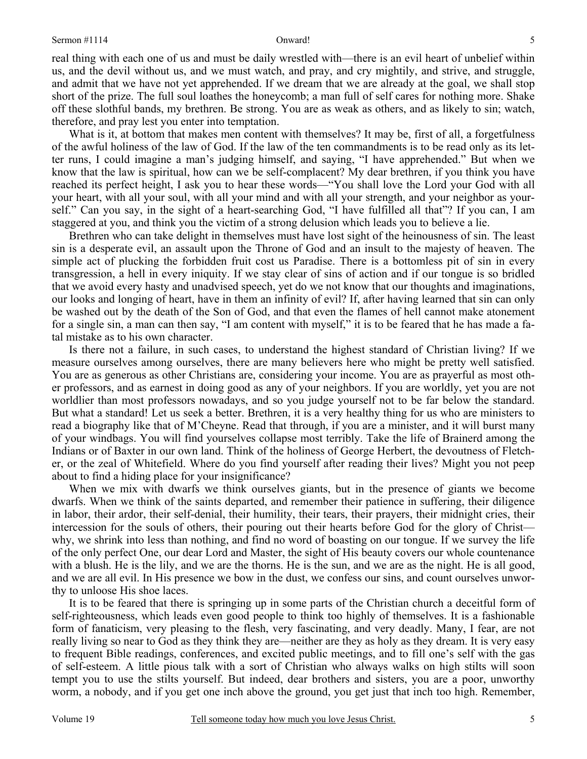real thing with each one of us and must be daily wrestled with—there is an evil heart of unbelief within us, and the devil without us, and we must watch, and pray, and cry mightily, and strive, and struggle, and admit that we have not yet apprehended. If we dream that we are already at the goal, we shall stop short of the prize. The full soul loathes the honeycomb; a man full of self cares for nothing more. Shake off these slothful bands, my brethren. Be strong. You are as weak as others, and as likely to sin; watch, therefore, and pray lest you enter into temptation.

What is it, at bottom that makes men content with themselves? It may be, first of all, a forgetfulness of the awful holiness of the law of God. If the law of the ten commandments is to be read only as its letter runs, I could imagine a man's judging himself, and saying, "I have apprehended." But when we know that the law is spiritual, how can we be self-complacent? My dear brethren, if you think you have reached its perfect height, I ask you to hear these words—"You shall love the Lord your God with all your heart, with all your soul, with all your mind and with all your strength, and your neighbor as yourself." Can you say, in the sight of a heart-searching God, "I have fulfilled all that"? If you can, I am staggered at you, and think you the victim of a strong delusion which leads you to believe a lie.

Brethren who can take delight in themselves must have lost sight of the heinousness of sin. The least sin is a desperate evil, an assault upon the Throne of God and an insult to the majesty of heaven. The simple act of plucking the forbidden fruit cost us Paradise. There is a bottomless pit of sin in every transgression, a hell in every iniquity. If we stay clear of sins of action and if our tongue is so bridled that we avoid every hasty and unadvised speech, yet do we not know that our thoughts and imaginations, our looks and longing of heart, have in them an infinity of evil? If, after having learned that sin can only be washed out by the death of the Son of God, and that even the flames of hell cannot make atonement for a single sin, a man can then say, "I am content with myself," it is to be feared that he has made a fatal mistake as to his own character.

Is there not a failure, in such cases, to understand the highest standard of Christian living? If we measure ourselves among ourselves, there are many believers here who might be pretty well satisfied. You are as generous as other Christians are, considering your income. You are as prayerful as most other professors, and as earnest in doing good as any of your neighbors. If you are worldly, yet you are not worldlier than most professors nowadays, and so you judge yourself not to be far below the standard. But what a standard! Let us seek a better. Brethren, it is a very healthy thing for us who are ministers to read a biography like that of M'Cheyne. Read that through, if you are a minister, and it will burst many of your windbags. You will find yourselves collapse most terribly. Take the life of Brainerd among the Indians or of Baxter in our own land. Think of the holiness of George Herbert, the devoutness of Fletcher, or the zeal of Whitefield. Where do you find yourself after reading their lives? Might you not peep about to find a hiding place for your insignificance?

When we mix with dwarfs we think ourselves giants, but in the presence of giants we become dwarfs. When we think of the saints departed, and remember their patience in suffering, their diligence in labor, their ardor, their self-denial, their humility, their tears, their prayers, their midnight cries, their intercession for the souls of others, their pouring out their hearts before God for the glory of Christ why, we shrink into less than nothing, and find no word of boasting on our tongue. If we survey the life of the only perfect One, our dear Lord and Master, the sight of His beauty covers our whole countenance with a blush. He is the lily, and we are the thorns. He is the sun, and we are as the night. He is all good, and we are all evil. In His presence we bow in the dust, we confess our sins, and count ourselves unworthy to unloose His shoe laces.

It is to be feared that there is springing up in some parts of the Christian church a deceitful form of self-righteousness, which leads even good people to think too highly of themselves. It is a fashionable form of fanaticism, very pleasing to the flesh, very fascinating, and very deadly. Many, I fear, are not really living so near to God as they think they are—neither are they as holy as they dream. It is very easy to frequent Bible readings, conferences, and excited public meetings, and to fill one's self with the gas of self-esteem. A little pious talk with a sort of Christian who always walks on high stilts will soon tempt you to use the stilts yourself. But indeed, dear brothers and sisters, you are a poor, unworthy worm, a nobody, and if you get one inch above the ground, you get just that inch too high. Remember,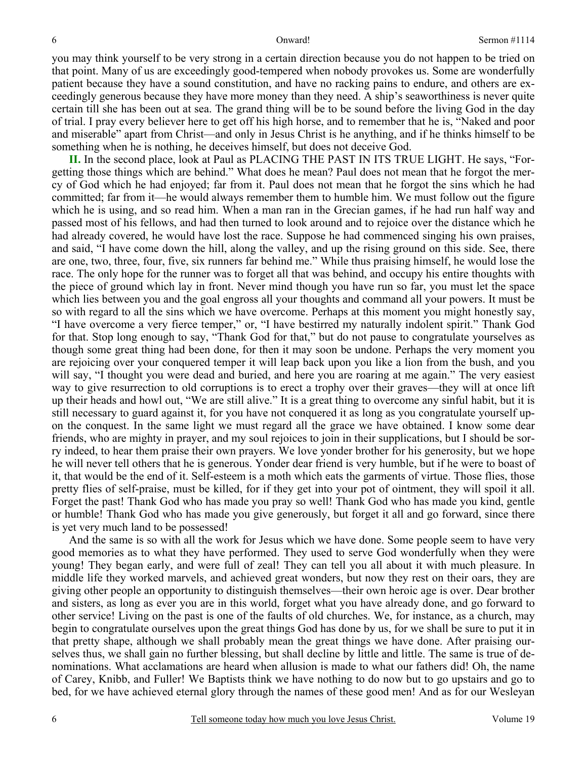you may think yourself to be very strong in a certain direction because you do not happen to be tried on that point. Many of us are exceedingly good-tempered when nobody provokes us. Some are wonderfully patient because they have a sound constitution, and have no racking pains to endure, and others are exceedingly generous because they have more money than they need. A ship's seaworthiness is never quite certain till she has been out at sea. The grand thing will be to be sound before the living God in the day of trial. I pray every believer here to get off his high horse, and to remember that he is, "Naked and poor and miserable" apart from Christ—and only in Jesus Christ is he anything, and if he thinks himself to be something when he is nothing, he deceives himself, but does not deceive God.

**II.** In the second place, look at Paul as PLACING THE PAST IN ITS TRUE LIGHT. He says, "Forgetting those things which are behind." What does he mean? Paul does not mean that he forgot the mercy of God which he had enjoyed; far from it. Paul does not mean that he forgot the sins which he had committed; far from it—he would always remember them to humble him. We must follow out the figure which he is using, and so read him. When a man ran in the Grecian games, if he had run half way and passed most of his fellows, and had then turned to look around and to rejoice over the distance which he had already covered, he would have lost the race. Suppose he had commenced singing his own praises, and said, "I have come down the hill, along the valley, and up the rising ground on this side. See, there are one, two, three, four, five, six runners far behind me." While thus praising himself, he would lose the race. The only hope for the runner was to forget all that was behind, and occupy his entire thoughts with the piece of ground which lay in front. Never mind though you have run so far, you must let the space which lies between you and the goal engross all your thoughts and command all your powers. It must be so with regard to all the sins which we have overcome. Perhaps at this moment you might honestly say, "I have overcome a very fierce temper," or, "I have bestirred my naturally indolent spirit." Thank God for that. Stop long enough to say, "Thank God for that," but do not pause to congratulate yourselves as though some great thing had been done, for then it may soon be undone. Perhaps the very moment you are rejoicing over your conquered temper it will leap back upon you like a lion from the bush, and you will say, "I thought you were dead and buried, and here you are roaring at me again." The very easiest way to give resurrection to old corruptions is to erect a trophy over their graves—they will at once lift up their heads and howl out, "We are still alive." It is a great thing to overcome any sinful habit, but it is still necessary to guard against it, for you have not conquered it as long as you congratulate yourself upon the conquest. In the same light we must regard all the grace we have obtained. I know some dear friends, who are mighty in prayer, and my soul rejoices to join in their supplications, but I should be sorry indeed, to hear them praise their own prayers. We love yonder brother for his generosity, but we hope he will never tell others that he is generous. Yonder dear friend is very humble, but if he were to boast of it, that would be the end of it. Self-esteem is a moth which eats the garments of virtue. Those flies, those pretty flies of self-praise, must be killed, for if they get into your pot of ointment, they will spoil it all. Forget the past! Thank God who has made you pray so well! Thank God who has made you kind, gentle or humble! Thank God who has made you give generously, but forget it all and go forward, since there is yet very much land to be possessed!

And the same is so with all the work for Jesus which we have done. Some people seem to have very good memories as to what they have performed. They used to serve God wonderfully when they were young! They began early, and were full of zeal! They can tell you all about it with much pleasure. In middle life they worked marvels, and achieved great wonders, but now they rest on their oars, they are giving other people an opportunity to distinguish themselves—their own heroic age is over. Dear brother and sisters, as long as ever you are in this world, forget what you have already done, and go forward to other service! Living on the past is one of the faults of old churches. We, for instance, as a church, may begin to congratulate ourselves upon the great things God has done by us, for we shall be sure to put it in that pretty shape, although we shall probably mean the great things we have done. After praising ourselves thus, we shall gain no further blessing, but shall decline by little and little. The same is true of denominations. What acclamations are heard when allusion is made to what our fathers did! Oh, the name of Carey, Knibb, and Fuller! We Baptists think we have nothing to do now but to go upstairs and go to bed, for we have achieved eternal glory through the names of these good men! And as for our Wesleyan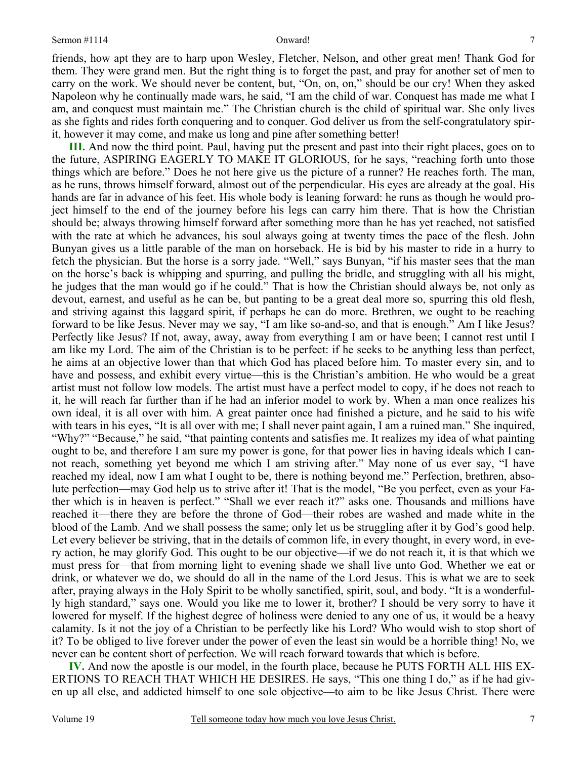7

friends, how apt they are to harp upon Wesley, Fletcher, Nelson, and other great men! Thank God for them. They were grand men. But the right thing is to forget the past, and pray for another set of men to carry on the work. We should never be content, but, "On, on, on," should be our cry! When they asked Napoleon why he continually made wars, he said, "I am the child of war. Conquest has made me what I am, and conquest must maintain me." The Christian church is the child of spiritual war. She only lives as she fights and rides forth conquering and to conquer. God deliver us from the self-congratulatory spirit, however it may come, and make us long and pine after something better!

**III.** And now the third point. Paul, having put the present and past into their right places, goes on to the future, ASPIRING EAGERLY TO MAKE IT GLORIOUS, for he says, "reaching forth unto those things which are before." Does he not here give us the picture of a runner? He reaches forth. The man, as he runs, throws himself forward, almost out of the perpendicular. His eyes are already at the goal. His hands are far in advance of his feet. His whole body is leaning forward: he runs as though he would project himself to the end of the journey before his legs can carry him there. That is how the Christian should be; always throwing himself forward after something more than he has yet reached, not satisfied with the rate at which he advances, his soul always going at twenty times the pace of the flesh. John Bunyan gives us a little parable of the man on horseback. He is bid by his master to ride in a hurry to fetch the physician. But the horse is a sorry jade. "Well," says Bunyan, "if his master sees that the man on the horse's back is whipping and spurring, and pulling the bridle, and struggling with all his might, he judges that the man would go if he could." That is how the Christian should always be, not only as devout, earnest, and useful as he can be, but panting to be a great deal more so, spurring this old flesh, and striving against this laggard spirit, if perhaps he can do more. Brethren, we ought to be reaching forward to be like Jesus. Never may we say, "I am like so-and-so, and that is enough." Am I like Jesus? Perfectly like Jesus? If not, away, away, away from everything I am or have been; I cannot rest until I am like my Lord. The aim of the Christian is to be perfect: if he seeks to be anything less than perfect, he aims at an objective lower than that which God has placed before him. To master every sin, and to have and possess, and exhibit every virtue—this is the Christian's ambition. He who would be a great artist must not follow low models. The artist must have a perfect model to copy, if he does not reach to it, he will reach far further than if he had an inferior model to work by. When a man once realizes his own ideal, it is all over with him. A great painter once had finished a picture, and he said to his wife with tears in his eyes, "It is all over with me; I shall never paint again, I am a ruined man." She inquired, "Why?" "Because," he said, "that painting contents and satisfies me. It realizes my idea of what painting ought to be, and therefore I am sure my power is gone, for that power lies in having ideals which I cannot reach, something yet beyond me which I am striving after." May none of us ever say, "I have reached my ideal, now I am what I ought to be, there is nothing beyond me." Perfection, brethren, absolute perfection—may God help us to strive after it! That is the model, "Be you perfect, even as your Father which is in heaven is perfect." "Shall we ever reach it?" asks one. Thousands and millions have reached it—there they are before the throne of God—their robes are washed and made white in the blood of the Lamb. And we shall possess the same; only let us be struggling after it by God's good help. Let every believer be striving, that in the details of common life, in every thought, in every word, in every action, he may glorify God. This ought to be our objective—if we do not reach it, it is that which we must press for—that from morning light to evening shade we shall live unto God. Whether we eat or drink, or whatever we do, we should do all in the name of the Lord Jesus. This is what we are to seek after, praying always in the Holy Spirit to be wholly sanctified, spirit, soul, and body. "It is a wonderfully high standard," says one. Would you like me to lower it, brother? I should be very sorry to have it lowered for myself. If the highest degree of holiness were denied to any one of us, it would be a heavy calamity. Is it not the joy of a Christian to be perfectly like his Lord? Who would wish to stop short of it? To be obliged to live forever under the power of even the least sin would be a horrible thing! No, we never can be content short of perfection. We will reach forward towards that which is before.

**IV.** And now the apostle is our model, in the fourth place, because he PUTS FORTH ALL HIS EX-ERTIONS TO REACH THAT WHICH HE DESIRES. He says, "This one thing I do," as if he had given up all else, and addicted himself to one sole objective—to aim to be like Jesus Christ. There were